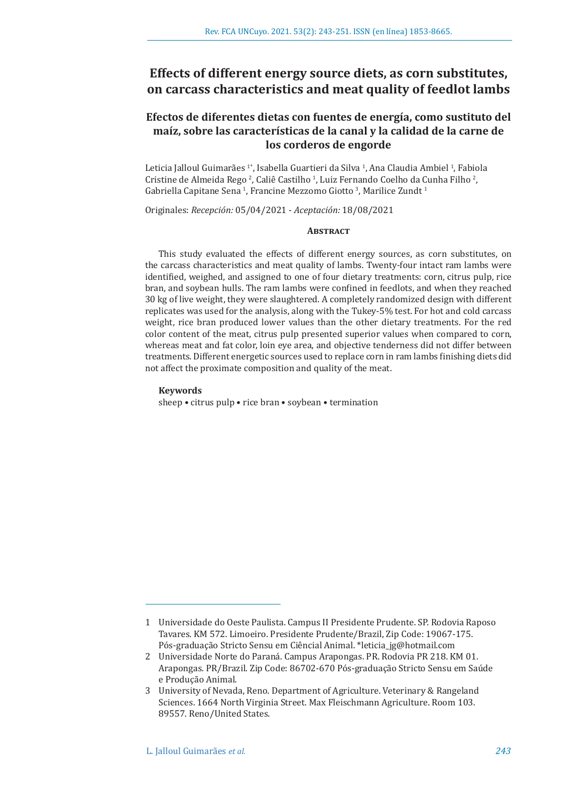# **Effects of different energy source diets, as corn substitutes, on carcass characteristics and meat quality of feedlot lambs**

## **Efectos de diferentes dietas con fuentes de energía, como sustituto del maíz, sobre las características de la canal y la calidad de la carne de los corderos de engorde**

Leticia Jalloul Guimarães <sup>1</sup>°, Isabella Guartieri da Silva <sup>1</sup>, Ana Claudia Ambiel <sup>1</sup>, Fabiola Cristine de Almeida Rego<sup>2</sup>, Caliê Castilho<sup>1</sup>, Luiz Fernando Coelho da Cunha Filho<sup>2</sup>, Gabriella Capitane Sena <sup>1</sup>, Francine Mezzomo Giotto <sup>3</sup>, Marilice Zundt <sup>1</sup>

Originales: *Recepción:* 05/04/2021 - *Aceptación:* 18/08/2021

## **ABSTRACT**

This study evaluated the effects of different energy sources, as corn substitutes, on the carcass characteristics and meat quality of lambs. Twenty-four intact ram lambs were identified, weighed, and assigned to one of four dietary treatments: corn, citrus pulp, rice bran, and soybean hulls. The ram lambs were confined in feedlots, and when they reached 30 kg of live weight, they were slaughtered. A completely randomized design with different replicates was used for the analysis, along with the Tukey-5% test. For hot and cold carcass weight, rice bran produced lower values than the other dietary treatments. For the red color content of the meat, citrus pulp presented superior values when compared to corn, whereas meat and fat color, loin eye area, and objective tenderness did not differ between treatments. Different energetic sources used to replace corn in ram lambs finishing diets did not affect the proximate composition and quality of the meat.

## **Keywords**

sheep • citrus pulp • rice bran • soybean • termination

<sup>1</sup> Universidade do Oeste Paulista. Campus II Presidente Prudente. SP. Rodovia Raposo Tavares. KM 572. Limoeiro. Presidente Prudente/Brazil, Zip Code: 19067-175. Pós-graduação Stricto Sensu em Ciêncial Animal. \*leticia\_jg@hotmail.com

<sup>2</sup> Universidade Norte do Paraná. Campus Arapongas. PR. Rodovia PR 218. KM 01. Arapongas. PR/Brazil. Zip Code: 86702-670 Pós-graduação Stricto Sensu em Saúde e Produção Animal.

<sup>3</sup> University of Nevada, Reno. Department of Agriculture. Veterinary & Rangeland Sciences. 1664 North Virginia Street. Max Fleischmann Agriculture. Room 103. 89557. Reno/United States.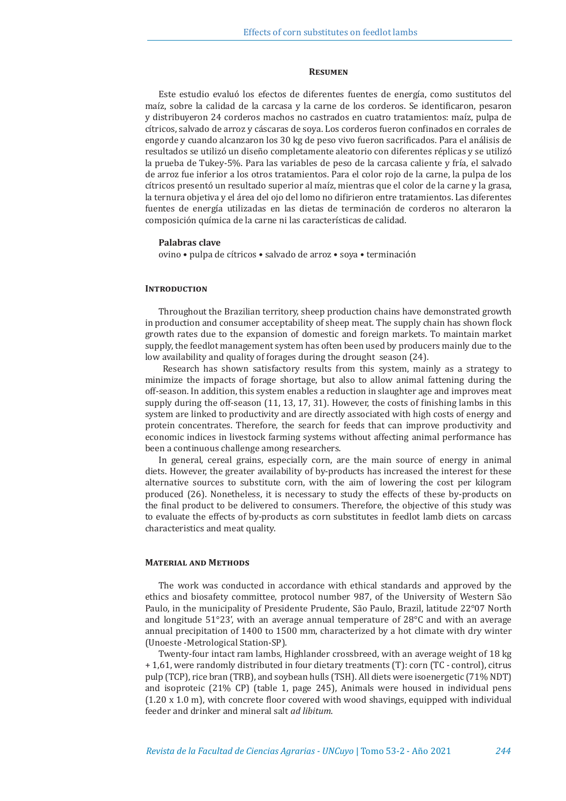## **Resumen**

Este estudio evaluó los efectos de diferentes fuentes de energía, como sustitutos del maíz, sobre la calidad de la carcasa y la carne de los corderos. Se identificaron, pesaron y distribuyeron 24 corderos machos no castrados en cuatro tratamientos: maíz, pulpa de cítricos, salvado de arroz y cáscaras de soya. Los corderos fueron confinados en corrales de engorde y cuando alcanzaron los 30 kg de peso vivo fueron sacrificados. Para el análisis de resultados se utilizó un diseño completamente aleatorio con diferentes réplicas y se utilizó la prueba de Tukey-5%. Para las variables de peso de la carcasa caliente y fría, el salvado de arroz fue inferior a los otros tratamientos. Para el color rojo de la carne, la pulpa de los cítricos presentó un resultado superior al maíz, mientras que el color de la carne y la grasa, la ternura objetiva y el área del ojo del lomo no difirieron entre tratamientos. Las diferentes fuentes de energía utilizadas en las dietas de terminación de corderos no alteraron la composición química de la carne ni las características de calidad.

## **Palabras clave**

ovino • pulpa de cítricos • salvado de arroz • soya • terminación

## **INTRODUCTION**

Throughout the Brazilian territory, sheep production chains have demonstrated growth in production and consumer acceptability of sheep meat. The supply chain has shown flock growth rates due to the expansion of domestic and foreign markets. To maintain market supply, the feedlot management system has often been used by producers mainly due to the low availability and quality of forages during the drought season (24).

 Research has shown satisfactory results from this system, mainly as a strategy to minimize the impacts of forage shortage, but also to allow animal fattening during the off-season. In addition, this system enables a reduction in slaughter age and improves meat supply during the off-season (11, 13, 17, 31). However, the costs of finishing lambs in this system are linked to productivity and are directly associated with high costs of energy and protein concentrates. Therefore, the search for feeds that can improve productivity and economic indices in livestock farming systems without affecting animal performance has been a continuous challenge among researchers.

In general, cereal grains, especially corn, are the main source of energy in animal diets. However, the greater availability of by-products has increased the interest for these alternative sources to substitute corn, with the aim of lowering the cost per kilogram produced (26). Nonetheless, it is necessary to study the effects of these by-products on the final product to be delivered to consumers. Therefore, the objective of this study was to evaluate the effects of by-products as corn substitutes in feedlot lamb diets on carcass characteristics and meat quality.

#### **Material and Methods**

The work was conducted in accordance with ethical standards and approved by the ethics and biosafety committee, protocol number 987, of the University of Western São Paulo, in the municipality of Presidente Prudente, São Paulo, Brazil, latitude 22°07 North and longitude 51°23', with an average annual temperature of 28°C and with an average annual precipitation of 1400 to 1500 mm, characterized by a hot climate with dry winter (Unoeste -Metrological Station-SP).

Twenty-four intact ram lambs, Highlander crossbreed, with an average weight of 18 kg + 1,61, were randomly distributed in four dietary treatments (T): corn (TC - control), citrus pulp (TCP), rice bran (TRB), and soybean hulls (TSH). All diets were isoenergetic (71% NDT) and isoproteic (21% CP) (table 1, page 245), Animals were housed in individual pens  $(1.20 \times 1.0 \text{ m})$ , with concrete floor covered with wood shavings, equipped with individual feeder and drinker and mineral salt *ad libitum*.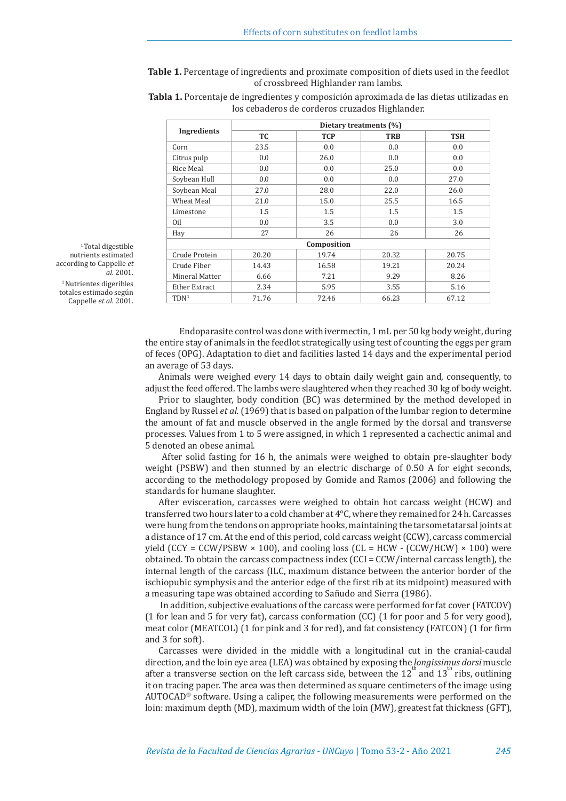**Table 1.** Percentage of ingredients and proximate composition of diets used in the feedlot of crossbreed Highlander ram lambs.

| Ingredients      | Dietary treatments (%) |            |            |            |  |  |  |  |
|------------------|------------------------|------------|------------|------------|--|--|--|--|
|                  | TC.                    | <b>TCP</b> | <b>TRB</b> | <b>TSH</b> |  |  |  |  |
| Corn             | 23.5                   | 0.0        | 0.0        | 0.0        |  |  |  |  |
| Citrus pulp      | 0.0                    | 26.0       | 0.0        | 0.0        |  |  |  |  |
| Rice Meal        | 0.0                    | 0.0        | 25.0       | 0.0        |  |  |  |  |
| Soybean Hull     | 0.0                    | 0.0        | 0.0        | 27.0       |  |  |  |  |
| Soybean Meal     | 27.0                   | 28.0       | 22.0       | 26.0       |  |  |  |  |
| Wheat Meal       | 21.0                   | 15.0       | 25.5       | 16.5       |  |  |  |  |
| Limestone        | 1.5                    | 1.5        | 1.5        | 1.5        |  |  |  |  |
| Oil              | 0.0                    | 3.5        | 0.0        | 3.0        |  |  |  |  |
| Hay              | 27                     | 26         | 26         | 26         |  |  |  |  |
|                  | Composition            |            |            |            |  |  |  |  |
| Crude Protein    | 20.20                  | 19.74      | 20.32      | 20.75      |  |  |  |  |
| Crude Fiber      | 14.43                  | 16.58      | 19.21      | 20.24      |  |  |  |  |
| Mineral Matter   | 6.66                   | 7.21       | 9.29       | 8.26       |  |  |  |  |
| Ether Extract    | 2.34                   | 5.95       | 3.55       | 5.16       |  |  |  |  |
| TDN <sup>1</sup> | 71.76                  | 72.46      | 66.23      | 67.12      |  |  |  |  |

**Tabla 1.** Porcentaje de ingredientes y composición aproximada de las dietas utilizadas en los cebaderos de corderos cruzados Highlander.

 $^{\rm 1}$  Total digestible nutrients estimated according to Cappelle *et al.* 2001. <sup>1</sup> Nutrientes digeribles totales estimado según

Cappelle *et al.* 2001.

Endoparasite control was done with ivermectin, 1 mL per 50 kg body weight, during the entire stay of animals in the feedlot strategically using test of counting the eggs per gram of feces (OPG). Adaptation to diet and facilities lasted 14 days and the experimental period an average of 53 days.

Animals were weighed every 14 days to obtain daily weight gain and, consequently, to adjust the feed offered. The lambs were slaughtered when they reached 30 kg of body weight.

Prior to slaughter, body condition (BC) was determined by the method developed in England by Russel *et al.* (1969) that is based on palpation of the lumbar region to determine the amount of fat and muscle observed in the angle formed by the dorsal and transverse processes. Values from 1 to 5 were assigned, in which 1 represented a cachectic animal and 5 denoted an obese animal.

 After solid fasting for 16 h, the animals were weighed to obtain pre-slaughter body weight (PSBW) and then stunned by an electric discharge of 0.50 A for eight seconds, according to the methodology proposed by Gomide and Ramos (2006) and following the standards for humane slaughter.

After evisceration, carcasses were weighed to obtain hot carcass weight (HCW) and transferred two hours later to a cold chamber at  $4^{\circ}$ C, where they remained for 24 h. Carcasses were hung from the tendons on appropriate hooks, maintaining the tarsometatarsal joints at a distance of 17 cm. At the end of this period, cold carcass weight (CCW), carcass commercial yield (CCY = CCW/PSBW  $\times$  100), and cooling loss (CL = HCW - (CCW/HCW)  $\times$  100) were obtained. To obtain the carcass compactness index (CCI = CCW/internal carcass length), the internal length of the carcass (ILC, maximum distance between the anterior border of the ischiopubic symphysis and the anterior edge of the first rib at its midpoint) measured with a measuring tape was obtained according to Sañudo and Sierra (1986).

 In addition, subjective evaluations of the carcass were performed for fat cover (FATCOV) (1 for lean and 5 for very fat), carcass conformation (CC) (1 for poor and 5 for very good), meat color (MEATCOL) (1 for pink and 3 for red), and fat consistency (FATCON) (1 for firm and 3 for soft).

Carcasses were divided in the middle with a longitudinal cut in the cranial-caudal direction, and the loin eye area (LEA) was obtained by exposing the *longissimus dorsi* muscle after a transverse section on the left carcass side, between the  $12^{th}$  and  $13^{th}$  ribs, outlining it on tracing paper. The area was then determined as square centimeters of the image using  $AUTOCAD^{\circledast}$  software. Using a caliper, the following measurements were performed on the loin: maximum depth (MD), maximum width of the loin (MW), greatest fat thickness (GFT),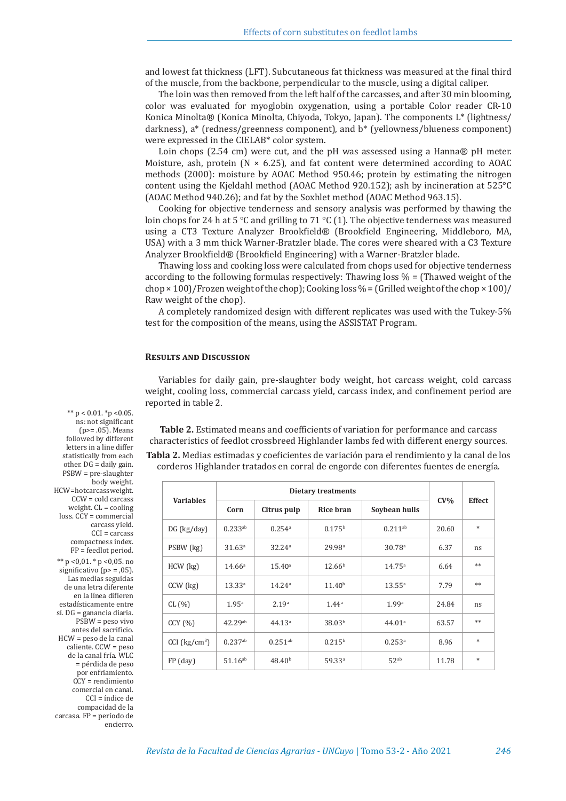and lowest fat thickness (LFT). Subcutaneous fat thickness was measured at the final third of the muscle, from the backbone, perpendicular to the muscle, using a digital caliper.

The loin was then removed from the left half of the carcasses, and after 30 min blooming, color was evaluated for myoglobin oxygenation, using a portable Color reader CR-10 Konica Minolta® (Konica Minolta, Chiyoda, Tokyo, Japan). The components L\* (lightness/ darkness), a\* (redness/greenness component), and b\* (yellowness/blueness component) were expressed in the CIELAB\* color system.

Loin chops (2.54 cm) were cut, and the pH was assessed using a Hanna® pH meter. Moisture, ash, protein ( $N \times 6.25$ ), and fat content were determined according to AOAC methods (2000): moisture by AOAC Method 950.46; protein by estimating the nitrogen content using the Kjeldahl method (AOAC Method 920.152); ash by incineration at 525°C (AOAC Method 940.26); and fat by the Soxhlet method (AOAC Method 963.15).

Cooking for objective tenderness and sensory analysis was performed by thawing the loin chops for 24 h at 5  $\degree$ C and grilling to 71  $\degree$ C (1). The objective tenderness was measured using a CT3 Texture Analyzer Brookfield® (Brookfield Engineering, Middleboro, MA, USA) with a 3 mm thick Warner-Bratzler blade. The cores were sheared with a C3 Texture Analyzer Brookfield® (Brookfield Engineering) with a Warner-Bratzler blade.

Thawing loss and cooking loss were calculated from chops used for objective tenderness according to the following formulas respectively: Thawing loss  $\%$  = (Thawed weight of the  $\text{ch}$   $\varphi$   $\times$  100)/Frozen weight of the chop); Cooking loss % = (Grilled weight of the chop  $\times$  100)/ Raw weight of the chop).

A completely randomized design with different replicates was used with the Tukey-5% test for the composition of the means, using the ASSISTAT Program.

## **Results and Discussion**

Variables for daily gain, pre-slaughter body weight, hot carcass weight, cold carcass weight, cooling loss, commercial carcass yield, carcass index, and confinement period are reported in table 2.

**Table 2.** Estimated means and coefficients of variation for performance and carcass characteristics of feedlot crossbreed Highlander lambs fed with different energy sources.

**Tabla 2.** Medias estimadas y coeficientes de variación para el rendimiento y la canal de los corderos Highlander tratados en corral de engorde con diferentes fuentes de energía.

| <b>Variables</b>            | Dietary treatments    |                      |                    |                      |        |               |
|-----------------------------|-----------------------|----------------------|--------------------|----------------------|--------|---------------|
|                             | Corn                  | Citrus pulp          | Rice bran          | Soybean hulls        | $CV\%$ | <b>Effect</b> |
| $DG$ (kg/day)               | $0.233^{ab}$          | $0.254$ <sup>a</sup> | 0.175 <sup>b</sup> | $0.211^{ab}$         | 20.60  | $\ast$        |
| PSBW (kg)                   | 31.63 <sup>a</sup>    | 32.24 <sup>a</sup>   | 29.98 <sup>a</sup> | 30.78 <sup>a</sup>   | 6.37   | ns            |
| $HCW$ $(kg)$                | 14.66 <sup>a</sup>    | $15.40^{\circ}$      | 12.66 <sup>b</sup> | $14.75^{\circ}$      | 6.64   | **            |
| $CCW$ (kg)                  | 13.33a                | 14.24 <sup>a</sup>   | 11.40 <sup>b</sup> | $13.55^{\circ}$      | 7.79   | **            |
| CL (%)                      | 1.95 <sup>a</sup>     | 2.19 <sup>a</sup>    | 1.44 <sup>a</sup>  | 1.99a                | 24.84  | ns            |
| CCY(%)                      | $42.29^{ab}$          | 44.13 <sup>a</sup>   | 38.03 <sup>b</sup> | 44.01a               | 63.57  | **            |
| $CCI$ (kg/cm <sup>3</sup> ) | $0.237$ <sup>ab</sup> | $0.251^{ab}$         | 0.215 <sup>b</sup> | $0.253$ <sup>a</sup> | 8.96   | $*$           |
| $FP$ (day)                  | $51.16^{ab}$          | 48.40 <sup>b</sup>   | 59.33a             | $52^{ab}$            | 11.78  | $*$           |

followed by different letters in a line differ statistically from each other. DG = daily gain. PSBW = pre-slaughter body weight. HCW = hot carcass weight. CCW = cold carcass weight.  $CL = cooling$ loss. CCY = commercial carcass yield. CCI = carcass compactness index. FP = feedlot period. \*\*  $p$  <0,01. \*  $p$  <0,05. no significativo ( $p$  = ,05). Las medias seguidas de una letra diferente en la línea difieren estadísticamente entre sí. DG = ganancia diaria. PSBW = peso vivo antes del sacrificio. HCW = peso de la canal caliente. CCW = peso de la canal fría. WLC = pérdida de peso por enfriamiento. CCY = rendimiento comercial en canal. CCI = índice de compacidad de la carcasa. FP = período de encierro.

\*\*  $p < 0.01$ . \* $p < 0.05$ . ns: not significant  $(p>= .05)$ . Means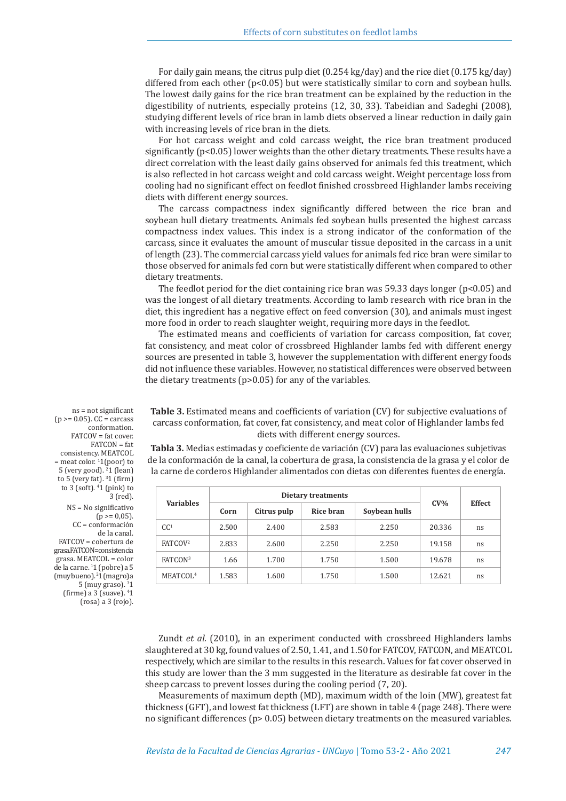For daily gain means, the citrus pulp diet (0.254 kg/day) and the rice diet (0.175 kg/day) differed from each other  $(p<0.05)$  but were statistically similar to corn and soybean hulls. The lowest daily gains for the rice bran treatment can be explained by the reduction in the digestibility of nutrients, especially proteins (12, 30, 33). Tabeidian and Sadeghi (2008), studying different levels of rice bran in lamb diets observed a linear reduction in daily gain with increasing levels of rice bran in the diets.

For hot carcass weight and cold carcass weight, the rice bran treatment produced significantly (p<0.05) lower weights than the other dietary treatments. These results have a direct correlation with the least daily gains observed for animals fed this treatment, which is also reflected in hot carcass weight and cold carcass weight. Weight percentage loss from cooling had no significant effect on feedlot finished crossbreed Highlander lambs receiving diets with different energy sources.

The carcass compactness index significantly differed between the rice bran and soybean hull dietary treatments. Animals fed soybean hulls presented the highest carcass compactness index values. This index is a strong indicator of the conformation of the carcass, since it evaluates the amount of muscular tissue deposited in the carcass in a unit of length (23). The commercial carcass yield values for animals fed rice bran were similar to those observed for animals fed corn but were statistically different when compared to other dietary treatments.

The feedlot period for the diet containing rice bran was 59.33 days longer ( $p<0.05$ ) and was the longest of all dietary treatments. According to lamb research with rice bran in the diet, this ingredient has a negative effect on feed conversion (30), and animals must ingest more food in order to reach slaughter weight, requiring more days in the feedlot.

The estimated means and coefficients of variation for carcass composition, fat cover, fat consistency, and meat color of crossbreed Highlander lambs fed with different energy sources are presented in table 3, however the supplementation with different energy foods did not influence these variables. However, no statistical differences were observed between the dietary treatments (p>0.05) for any of the variables.

**Table 3.** Estimated means and coefficients of variation (CV) for subjective evaluations of carcass conformation, fat cover, fat consistency, and meat color of Highlander lambs fed diets with different energy sources.

**Tabla 3.** Medias estimadas y coeficiente de variación (CV) para las evaluaciones subjetivas de la conformación de la canal, la cobertura de grasa, la consistencia de la grasa y el color de la carne de corderos Highlander alimentados con dietas con diferentes fuentes de energía.

| <b>Variables</b>     |       | Dietary treatments |           | <b>Effect</b> |        |    |
|----------------------|-------|--------------------|-----------|---------------|--------|----|
|                      | Corn  | Citrus pulp        | Rice bran | Soybean hulls | $CV\%$ |    |
| CC <sup>1</sup>      | 2.500 | 2.400              | 2.583     | 2.250         | 20.336 | ns |
| FATCOV <sup>2</sup>  | 2.833 | 2.600              | 2.250     | 2.250         | 19.158 | ns |
| FATCON <sup>3</sup>  | 1.66  | 1.700              | 1.750     | 1.500         | 19.678 | ns |
| MEATCOL <sup>4</sup> | 1.583 | 1.600              | 1.750     | 1.500         | 12.621 | ns |

conformation.  $FATCOV = f$ at cover.  $FATCON = fat$ consistency. MEATCOL = meat color. <sup>1</sup> 1(poor) to 5 (very good).  $^{2}$ 1 (lean) to 5 (very fat).  $31$  (firm) to 3 (soft). 4 1 (pink) to 3 (red). NS = No significativo  $(p \ge 0.05)$ . CC = conformación de la canal. FATCOV = cobertura de grasa. FATCON = consistencia  $\mathrm{grasa}$ . MEATCOL = color de la carne. 1 1 (pobre) a 5 (muy bueno). 2 1 (magro) a  $5 \,$ (muy graso).  $31 \,$ (firme) a 3 (suave). <sup>4</sup> 1 (rosa) a 3 (rojo).

ns = not significant  $(p \ge 0.05)$ . CC = carcass

> Zundt *et al.* (2010), in an experiment conducted with crossbreed Highlanders lambs slaughtered at 30 kg, found values of 2.50, 1.41, and 1.50 for FATCOV, FATCON, and MEATCOL respectively, which are similar to the results in this research. Values for fat cover observed in this study are lower than the 3 mm suggested in the literature as desirable fat cover in the sheep carcass to prevent losses during the cooling period (7, 20).

> Measurements of maximum depth (MD), maximum width of the loin (MW), greatest fat thickness (GFT), and lowest fat thickness (LFT) are shown in table 4 (page 248). There were no significant differences ( $p$  > 0.05) between dietary treatments on the measured variables.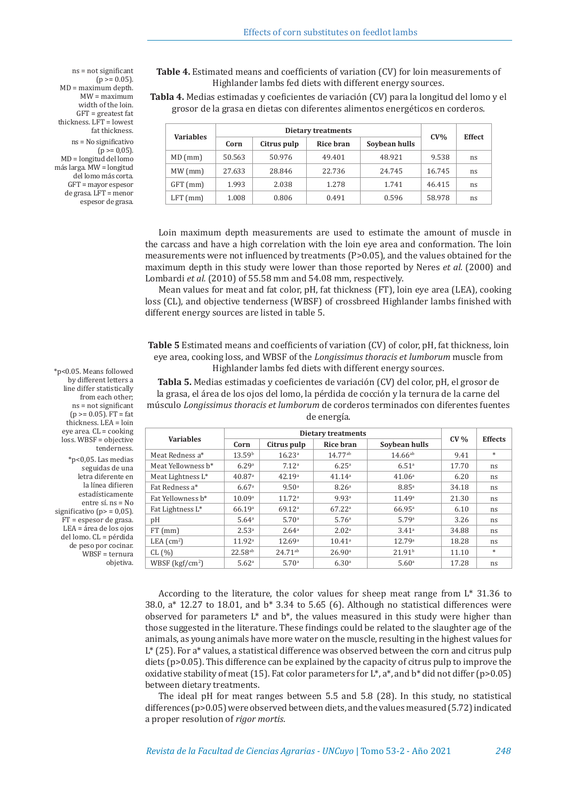**Table 4.** Estimated means and coefficients of variation (CV) for loin measurements of Highlander lambs fed diets with different energy sources.

**Tabla 4.** Medias estimadas y coeficientes de variación (CV) para la longitud del lomo y el grosor de la grasa en dietas con diferentes alimentos energéticos en corderos.

| <b>Variables</b> | Dietary treatments |             |           |               |        | <b>Effect</b> |
|------------------|--------------------|-------------|-----------|---------------|--------|---------------|
|                  | Corn               | Citrus pulp | Rice bran | Soybean hulls | $CV\%$ |               |
| $MD$ (mm)        | 50.563             | 50.976      | 49.401    | 48.921        | 9.538  | ns            |
| MW(mm)           | 27.633             | 28.846      | 22.736    | 24.745        | 16.745 | ns            |
| GFT (mm)         | 1.993              | 2.038       | 1.278     | 1.741         | 46.415 | ns            |
| $LFT$ (mm)       | 1.008              | 0.806       | 0.491     | 0.596         | 58.978 | ns            |

Loin maximum depth measurements are used to estimate the amount of muscle in the carcass and have a high correlation with the loin eye area and conformation. The loin measurements were not influenced by treatments (P>0.05), and the values obtained for the maximum depth in this study were lower than those reported by Neres *et al.* (2000) and Lombardi *et al.* (2010) of 55.58 mm and 54.08 mm, respectively.

Mean values for meat and fat color, pH, fat thickness (FT), loin eye area (LEA), cooking loss (CL), and objective tenderness (WBSF) of crossbreed Highlander lambs finished with different energy sources are listed in table 5.

**Table 5** Estimated means and coefficients of variation (CV) of color, pH, fat thickness, loin eye area, cooking loss, and WBSF of the *Longissimus thoracis et lumborum* muscle from Highlander lambs fed diets with different energy sources.

**Tabla 5.** Medias estimadas y coeficientes de variación (CV) del color, pH, el grosor de la grasa, el área de los ojos del lomo, la pérdida de cocción y la ternura de la carne del músculo *Longissimus thoracis et lumborum* de corderos terminados con diferentes fuentes de energía.

| <b>Variables</b>   | <b>Dietary treatments</b> |                    |                      |                    |        |                |
|--------------------|---------------------------|--------------------|----------------------|--------------------|--------|----------------|
|                    | Corn                      | Citrus pulp        | Rice bran            | Soybean hulls      | $CV\%$ | <b>Effects</b> |
| Meat Redness a*    | 13.59 <sup>b</sup>        | 16.23a             | $14.77^{ab}$         | $14.66^{ab}$       | 9.41   | $*$            |
| Meat Yellowness b* | 6.29a                     | 7.12 <sup>a</sup>  | 6.25 <sup>a</sup>    | 6.51 <sup>a</sup>  | 17.70  | ns             |
| Meat Lightness L*  | 40.87a                    | 42.19a             | 41.14 <sup>a</sup>   | 41.06 <sup>a</sup> | 6.20   | ns             |
| Fat Redness a*     | 6.67 <sup>a</sup>         | 9.50 <sup>a</sup>  | 8.26 <sup>a</sup>    | $8.85^{a}$         | 34.18  | ns             |
| Fat Yellowness b*  | 10.09a                    | 11.72 <sup>a</sup> | 9.93 <sup>a</sup>    | 11.49a             | 21.30  | ns             |
| Fat Lightness L*   | 66.19a                    | 69.12 <sup>a</sup> | 67.22 <sup>a</sup>   | 66.95a             | 6.10   | ns             |
| pH                 | 5.64 <sup>a</sup>         | 5.70 <sup>a</sup>  | 5.76 <sup>a</sup>    | 5.79a              | 3.26   | ns             |
| $FT$ (mm)          | 2.53 <sup>a</sup>         | 2.64 <sup>a</sup>  | 2.02 <sup>a</sup>    | 3.41 <sup>a</sup>  | 34.88  | ns             |
| LEA $(cm2)$        | 11.92 <sup>a</sup>        | 12.69a             | $10.41$ <sup>a</sup> | 12.79a             | 18.28  | ns             |
| CL (%)             | $22.58^{ab}$              | $24.71^{ab}$       | 26.90a               | 21.91 <sup>b</sup> | 11.10  | $*$            |
| WBSF $(kgf/cm2)$   | 5.62 <sup>a</sup>         | 5.70 <sup>a</sup>  | 6.30 <sup>a</sup>    | 5.60 <sup>a</sup>  | 17.28  | ns             |

ns = not significant  $(p > 0.05)$ .  $MD = maximum$  depth.  $MW = maximum$ width of the loin. GFT = greatest fat thickness. LFT = lowest fat thickness. ns = No significativo  $(p \ge 0.05)$ . MD = longitud del lomo más larga. MW = longitud del lomo más corta. GFT = mayor espesor

de grasa. LFT = menor espesor de grasa.

\*p<0.05. Means followed by different letters a line differ statistically from each other; ns = not significant  $(p \ge 0.05)$ . FT = fat thickness. LEA = loin eye area. CL = cooking loss. WBSF = objective tenderness. \*p<0,05. Las medias seguidas de una letra diferente en la línea difieren estadísticamente entre sí. ns = No significativo ( $p$  = 0,05). FT = espesor de grasa. LEA = área de los ojos del lomo. CL = pérdida de peso por cocinar. WBSF = ternura objetiva.

> According to the literature, the color values for sheep meat range from L\* 31.36 to 38.0, a\* 12.27 to 18.01, and b\* 3.34 to 5.65 (6). Although no statistical differences were observed for parameters  $L^*$  and  $b^*$ , the values measured in this study were higher than those suggested in the literature. These findings could be related to the slaughter age of the animals, as young animals have more water on the muscle, resulting in the highest values for  $L^*$  (25). For a<sup>\*</sup> values, a statistical difference was observed between the corn and citrus pulp diets (p>0.05). This difference can be explained by the capacity of citrus pulp to improve the oxidative stability of meat (15). Fat color parameters for L\*, a\*, and b\* did not differ (p>0.05) between dietary treatments.

> The ideal pH for meat ranges between 5.5 and 5.8 (28). In this study, no statistical differences (p>0.05) were observed between diets, and the values measured (5.72) indicated a proper resolution of *rigor mortis*.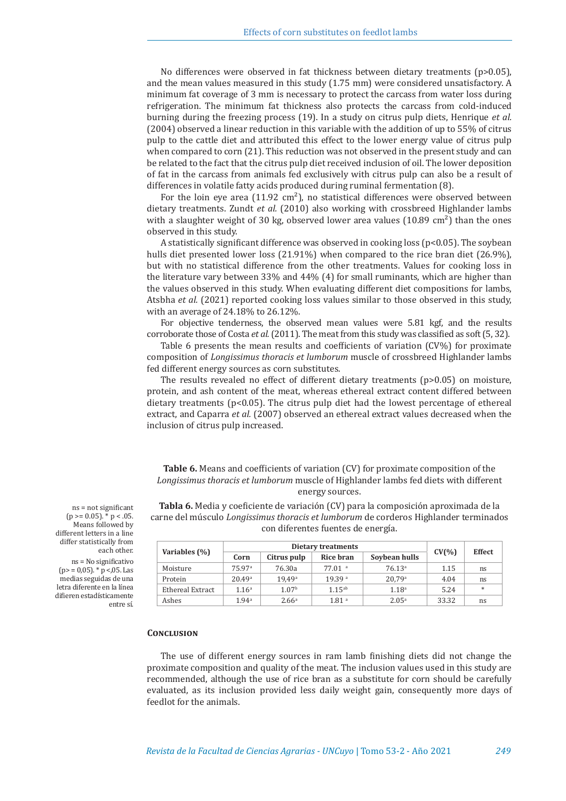No differences were observed in fat thickness between dietary treatments ( $p>0.05$ ), and the mean values measured in this study (1.75 mm) were considered unsatisfactory. A minimum fat coverage of 3 mm is necessary to protect the carcass from water loss during refrigeration. The minimum fat thickness also protects the carcass from cold-induced burning during the freezing process (19). In a study on citrus pulp diets, Henrique *et al.*  (2004) observed a linear reduction in this variable with the addition of up to 55% of citrus pulp to the cattle diet and attributed this effect to the lower energy value of citrus pulp when compared to corn (21). This reduction was not observed in the present study and can be related to the fact that the citrus pulp diet received inclusion of oil. The lower deposition of fat in the carcass from animals fed exclusively with citrus pulp can also be a result of differences in volatile fatty acids produced during ruminal fermentation (8).

For the loin eye area (11.92  $\text{cm}^2$ ), no statistical differences were observed between dietary treatments. Zundt *et al.* (2010) also working with crossbreed Highlander lambs with a slaughter weight of 30 kg, observed lower area values  $(10.89 \text{ cm}^2)$  than the ones observed in this study.

A statistically significant difference was observed in cooking loss ( $p<0.05$ ). The soybean hulls diet presented lower loss (21.91%) when compared to the rice bran diet (26.9%), but with no statistical difference from the other treatments. Values for cooking loss in the literature vary between 33% and 44% (4) for small ruminants, which are higher than the values observed in this study. When evaluating different diet compositions for lambs, Atsbha *et al.* (2021) reported cooking loss values similar to those observed in this study, with an average of 24.18% to 26.12%.

For objective tenderness, the observed mean values were 5.81 kgf, and the results corroborate those of Costa *et al.* (2011). The meat from this study was classified as soft (5, 32).

Table 6 presents the mean results and coefficients of variation (CV%) for proximate composition of *Longissimus thoracis et lumborum* muscle of crossbreed Highlander lambs fed different energy sources as corn substitutes.

The results revealed no effect of different dietary treatments (p>0.05) on moisture, protein, and ash content of the meat, whereas ethereal extract content differed between dietary treatments ( $p<0.05$ ). The citrus pulp diet had the lowest percentage of ethereal extract, and Caparra *et al.* (2007) observed an ethereal extract values decreased when the inclusion of citrus pulp increased.

**Table 6.** Means and coefficients of variation (CV) for proximate composition of the *Longissimus thoracis et lumborum* muscle of Highlander lambs fed diets with different energy sources.

**Tabla 6.** Media y coeficiente de variación (CV) para la composición aproximada de la carne del músculo *Longissimus thoracis et lumborum* de corderos Highlander terminados con diferentes fuentes de energía.

| Variables (%)    | Dietary treatments |                   |                      |                    |           | <b>Effect</b> |
|------------------|--------------------|-------------------|----------------------|--------------------|-----------|---------------|
|                  | Corn               | Citrus pulp       | Rice bran            | Soybean hulls      | $CV(\% )$ |               |
| Moisture         | 75.97 <sup>a</sup> | 76.30a            | $77.01$ <sup>a</sup> | 76.13 <sup>a</sup> | 1.15      | ns            |
| Protein          | 20.49a             | 19.49a            | 19.39 <sup>a</sup>   | 20.79a             | 4.04      | ns            |
| Ethereal Extract | 1.16 <sup>a</sup>  | 1.07 <sup>b</sup> | $1.15^{ab}$          | 1.18 <sup>a</sup>  | 5.24      | $*$           |
| Ashes            | 1.94 <sup>a</sup>  | 2.66 <sup>a</sup> | 1.81 <sup>a</sup>    | $2.05^{\circ}$     | 33.32     | ns            |

ns = not significant  $(p \ge 0.05)$ .  $\check{p}$  p < .05. Means followed by different letters in a line differ statistically from each other.

ns = No significativo  $(p> = 0.05)$ . \*  $p < 0.05$ . Las medias seguidas de una letra diferente en la línea difieren estadísticamente entre sí.

#### **Conclusion**

The use of different energy sources in ram lamb finishing diets did not change the proximate composition and quality of the meat. The inclusion values used in this study are recommended, although the use of rice bran as a substitute for corn should be carefully evaluated, as its inclusion provided less daily weight gain, consequently more days of feedlot for the animals.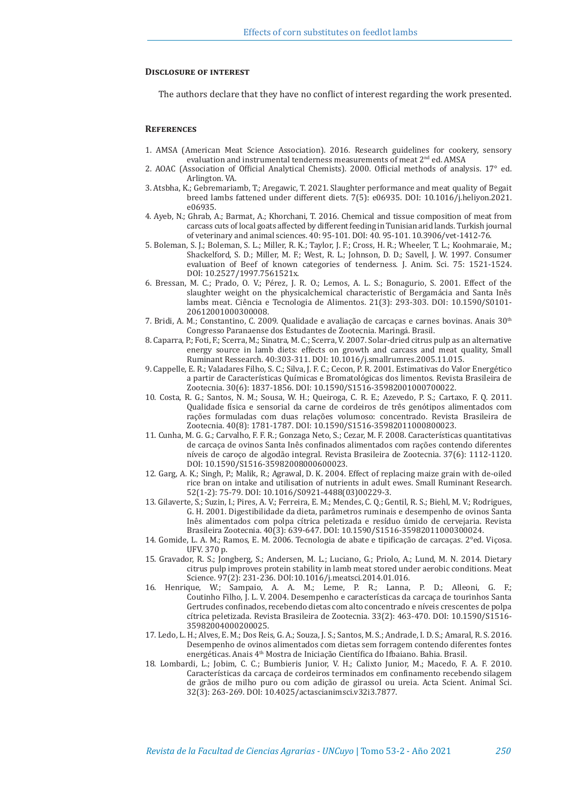## **Disclosure of interest**

The authors declare that they have no conflict of interest regarding the work presented.

## **References**

- 1. AMSA (American Meat Science Association). 2016. Research guidelines for cookery, sensory evaluation and instrumental tenderness measurements of meat 2<sup>nd</sup> ed. AMSA
- 2. AOAC (Association of Official Analytical Chemists). 2000. Official methods of analysis. 17° ed. Arlington. VA.
- 3. Atsbha, K.; Gebremariamb, T.; Aregawic, T. 2021. Slaughter performance and meat quality of Begait breed lambs fattened under different diets. 7(5): e06935. DOI: 10.1016/j.heliyon.2021. e06935.
- 4. Ayeb, N.; Ghrab, A.; Barmat, A.; Khorchani, T. 2016. Chemical and tissue composition of meat from carcass cuts of local goats affected by different feeding in Tunisian arid lands. Turkish journal of veterinary and animal sciences. 40: 95-101. DOI: 40. 95-101. 10.3906/vet-1412-76.
- 5. Boleman, S. J.; Boleman, S. L.; Miller, R. K.; Taylor, J. F.; Cross, H. R.; Wheeler, T. L.; Koohmaraie, M.; Shackelford, S. D.; Miller, M. F.; West, R. L.; Johnson, D. D.; Savell, J. W. 1997. Consumer evaluation of Beef of known categories of tenderness. J. Anim. Sci. 75: 1521-1524. DOI: 10.2527/1997.7561521x.
- 6. Bressan, M. C.; Prado, O. V.; Pérez, J. R. O.; Lemos, A. L. S.; Bonagurio, S. 2001. Effect of the slaughter weight on the physicalchemical characteristic of Bergamácia and Santa Inês lambs meat. Ciência e Tecnologia de Alimentos. 21(3): 293-303. DOI: 10.1590/S0101- 20612001000300008.
- 7. Bridi, A. M.; Constantino, C. 2009. Qualidade e avaliação de carcaças e carnes bovinas. Anais  $30<sup>th</sup>$ Congresso Paranaense dos Estudantes de Zootecnia. Maringá. Brasil.
- 8. Caparra, P.; Foti, F.; Scerra, M.; Sinatra, M. C.; Scerra, V. 2007. Solar-dried citrus pulp as an alternative energy source in lamb diets: effects on growth and carcass and meat quality, Small Ruminant Ressearch. 40:303-311. DOI: 10.1016/j.smallrumres.2005.11.015.
- 9. Cappelle, E. R.; Valadares Filho, S. C.; Silva, J. F. C.; Cecon, P. R. 2001. Estimativas do Valor Energético a partir de Características Químicas e Bromatológicas dos limentos. Revista Brasileira de Zootecnia. 30(6): 1837-1856. DOI: 10.1590/S1516-35982001000700022.
- 10. Costa, R. G.; Santos, N. M.; Sousa, W. H.; Queiroga, C. R. E.; Azevedo, P. S.; Cartaxo, F. Q. 2011. Qualidade física e sensorial da carne de cordeiros de três genótipos alimentados com rações formuladas com duas relações volumoso: concentrado. Revista Brasileira de Zootecnia. 40(8): 1781-1787. DOI: 10.1590/S1516-35982011000800023.
- 11. Cunha, M. G. G.; Carvalho, F. F. R.; Gonzaga Neto, S.; Cezar, M. F. 2008. Características quantitativas de carcaça de ovinos Santa Inês confinados alimentados com rações contendo diferentes níveis de caroço de algodão integral. Revista Brasileira de Zootecnia. 37(6): 1112-1120. DOI: 10.1590/S1516-35982008000600023.
- 12. Garg, A. K.; Singh, P.; Malik, R.; Agrawal, D. K. 2004. Effect of replacing maize grain with de-oiled rice bran on intake and utilisation of nutrients in adult ewes. Small Ruminant Research. 52(1-2): 75-79. DOI: 10.1016/S0921-4488(03)00229-3.
- 13. Gilaverte, S.; Suzin, I.; Pires, A. V.; Ferreira, E. M.; Mendes, C. Q.; Gentil, R. S.; Biehl, M. V.; Rodrigues, G. H. 2001. Digestibilidade da dieta, parâmetros ruminais e desempenho de ovinos Santa Inês alimentados com polpa cítrica peletizada e resíduo úmido de cervejaria. Revista Brasileira Zootecnia. 40(3): 639-647. DOI: 10.1590/S1516-35982011000300024.
- 14. Gomide, L. A. M.; Ramos, E. M. 2006. Tecnologia de abate e tipificação de carcaças. 2°ed. Viçosa. UFV. 370 p.
- 15. Gravador, R. S.; Jongberg, S.; Andersen, M. L.; Luciano, G.; Priolo, A.; Lund, M. N. 2014. Dietary citrus pulp improves protein stability in lamb meat stored under aerobic conditions. Meat Science. 97(2): 231-236. DOI:10.1016/j.meatsci.2014.01.016.
- 16. Henrique, W.; Sampaio, A. A. M.; Leme, P. R.; Lanna, P. D.; Alleoni, G. F.; Coutinho Filho, J. L. V. 2004. Desempenho e características da carcaça de tourinhos Santa Gertrudes confinados, recebendo dietas com alto concentrado e níveis crescentes de polpa cítrica peletizada. Revista Brasileira de Zootecnia. 33(2): 463-470. DOI: 10.1590/S1516- 35982004000200025.
- 17. Ledo, L. H.; Alves, E. M.; Dos Reis, G. A.; Souza, J. S.; Santos, M. S.; Andrade, I. D. S.; Amaral, R. S. 2016. Desempenho de ovinos alimentados com dietas sem forragem contendo diferentes fontes energéticas. Anais 4<sup>th</sup> Mostra de Iniciação Científica do Ifbaiano. Bahia. Brasil.
- 18. Lombardi, L.; Jobim, C. C.; Bumbieris Junior, V. H.; Calixto Junior, M.; Macedo, F. A. F. 2010. Características da carcaça de cordeiros terminados em confinamento recebendo silagem de grãos de milho puro ou com adição de girassol ou ureia. Acta Scient. Animal Sci. 32(3): 263-269. DOI: 10.4025/actascianimsci.v32i3.7877.